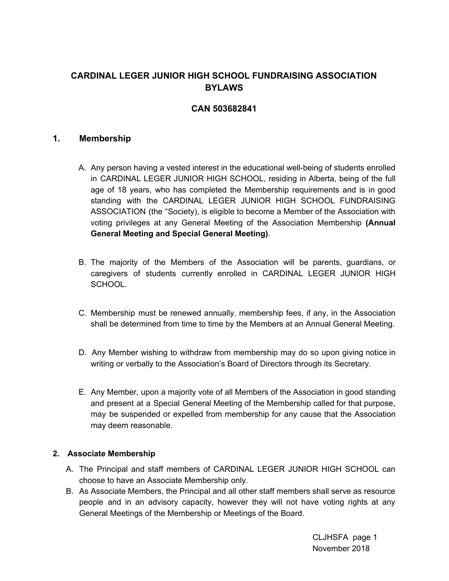# **CARDINAL LEGER JUNIOR HIGH SCHOOL FUNDRAISING ASSOCIATION BYLAWS**

## **CAN 503682841**

### **1. Membership**

- A. Any person having a vested interest in the educational well-being of students enrolled in CARDINAL LEGER JUNIOR HIGH SCHOOL, residing in Alberta, being of the full age of 18 years, who has completed the Membership requirements and is in good standing with the CARDINAL LEGER JUNIOR HIGH SCHOOL FUNDRAISING ASSOCIATION (the "Society), is eligible to become a Member of the Association with voting privileges at any General Meeting of the Association Membership **(Annual General Meeting and Special General Meeting)**.
- B. The majority of the Members of the Association will be parents, guardians, or caregivers of students currently enrolled in CARDINAL LEGER JUNIOR HIGH SCHOOL.
- C. Membership must be renewed annually. membership fees, if any, in the Association shall be determined from time to time by the Members at an Annual General Meeting.
- D. Any Member wishing to withdraw from membership may do so upon giving notice in writing or verbally to the Association's Board of Directors through its Secretary.
- E. Any Member, upon a majority vote of all Members of the Association in good standing and present at a Special General Meeting of the Membership called for that purpose, may be suspended or expelled from membership for any cause that the Association may deem reasonable.

#### **2. Associate Membership**

- A. The Principal and staff members of CARDINAL LEGER JUNIOR HIGH SCHOOL can choose to have an Associate Membership only.
- B. As Associate Members, the Principal and all other staff members shall serve as resource people and in an advisory capacity, however they will not have voting rights at any General Meetings of the Membership or Meetings of the Board.

CLJHSFA page 1 November 2018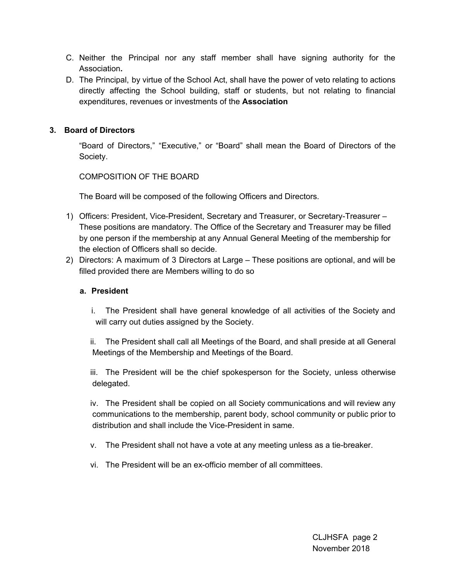- C. Neither the Principal nor any staff member shall have signing authority for the Association**.**
- D. The Principal, by virtue of the School Act, shall have the power of veto relating to actions directly affecting the School building, staff or students, but not relating to financial expenditures, revenues or investments of the **Association**

### **3. Board of Directors**

"Board of Directors," "Executive," or "Board" shall mean the Board of Directors of the Society.

COMPOSITION OF THE BOARD

The Board will be composed of the following Officers and Directors.

- 1) Officers: President, Vice-President, Secretary and Treasurer, or Secretary-Treasurer These positions are mandatory. The Office of the Secretary and Treasurer may be filled by one person if the membership at any Annual General Meeting of the membership for the election of Officers shall so decide.
- 2) Directors: A maximum of 3 Directors at Large These positions are optional, and will be filled provided there are Members willing to do so

#### **a. President**

- i. The President shall have general knowledge of all activities of the Society and will carry out duties assigned by the Society.
- ii. The President shall call all Meetings of the Board, and shall preside at all General Meetings of the Membership and Meetings of the Board.

iii. The President will be the chief spokesperson for the Society, unless otherwise delegated.

iv. The President shall be copied on all Society communications and will review any communications to the membership, parent body, school community or public prior to distribution and shall include the Vice-President in same.

- v. The President shall not have a vote at any meeting unless as a tie-breaker.
- vi. The President will be an ex-officio member of all committees.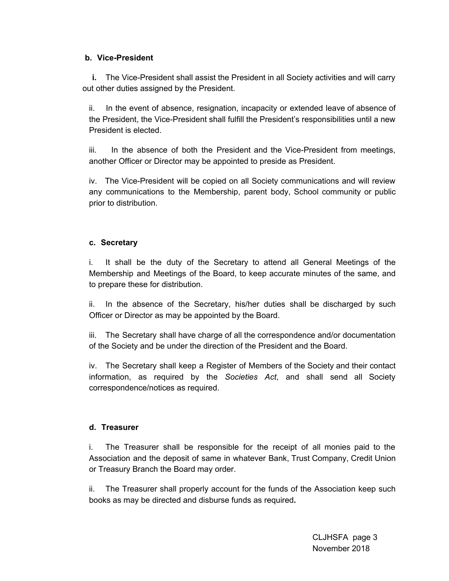### **b. Vice-President**

**i.** The Vice-President shall assist the President in all Society activities and will carry out other duties assigned by the President.

ii. In the event of absence, resignation, incapacity or extended leave of absence of the President, the Vice-President shall fulfill the President's responsibilities until a new President is elected.

iii. In the absence of both the President and the Vice-President from meetings, another Officer or Director may be appointed to preside as President.

iv. The Vice-President will be copied on all Society communications and will review any communications to the Membership, parent body, School community or public prior to distribution.

### **c. Secretary**

i. It shall be the duty of the Secretary to attend all General Meetings of the Membership and Meetings of the Board, to keep accurate minutes of the same, and to prepare these for distribution.

ii. In the absence of the Secretary, his/her duties shall be discharged by such Officer or Director as may be appointed by the Board.

iii. The Secretary shall have charge of all the correspondence and/or documentation of the Society and be under the direction of the President and the Board.

iv. The Secretary shall keep a Register of Members of the Society and their contact information, as required by the *Societies Act*, and shall send all Society correspondence/notices as required.

### **d. Treasurer**

i. The Treasurer shall be responsible for the receipt of all monies paid to the Association and the deposit of same in whatever Bank, Trust Company, Credit Union or Treasury Branch the Board may order.

ii. The Treasurer shall properly account for the funds of the Association keep such books as may be directed and disburse funds as required**.**

> CLJHSFA page 3 November 2018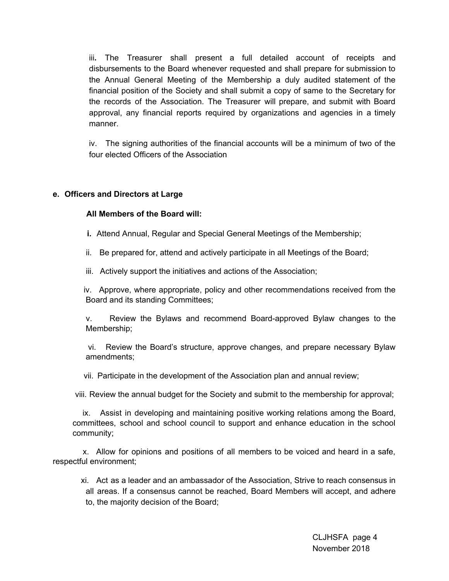iii**.** The Treasurer shall present a full detailed account of receipts and disbursements to the Board whenever requested and shall prepare for submission to the Annual General Meeting of the Membership a duly audited statement of the financial position of the Society and shall submit a copy of same to the Secretary for the records of the Association. The Treasurer will prepare, and submit with Board approval, any financial reports required by organizations and agencies in a timely manner.

iv. The signing authorities of the financial accounts will be a minimum of two of the four elected Officers of the Association

#### **e. Officers and Directors at Large**

#### **All Members of the Board will:**

**i.** Attend Annual, Regular and Special General Meetings of the Membership;

ii. Be prepared for, attend and actively participate in all Meetings of the Board;

iii. Actively support the initiatives and actions of the Association;

iv. Approve, where appropriate, policy and other recommendations received from the Board and its standing Committees;

v. Review the Bylaws and recommend Board-approved Bylaw changes to the Membership;

vi. Review the Board's structure, approve changes, and prepare necessary Bylaw amendments;

vii. Participate in the development of the Association plan and annual review;

viii. Review the annual budget for the Society and submit to the membership for approval;

ix. Assist in developing and maintaining positive working relations among the Board, committees, school and school council to support and enhance education in the school community;

x. Allow for opinions and positions of all members to be voiced and heard in a safe, respectful environment;

xi. Act as a leader and an ambassador of the Association, Strive to reach consensus in all areas. If a consensus cannot be reached, Board Members will accept, and adhere to, the majority decision of the Board;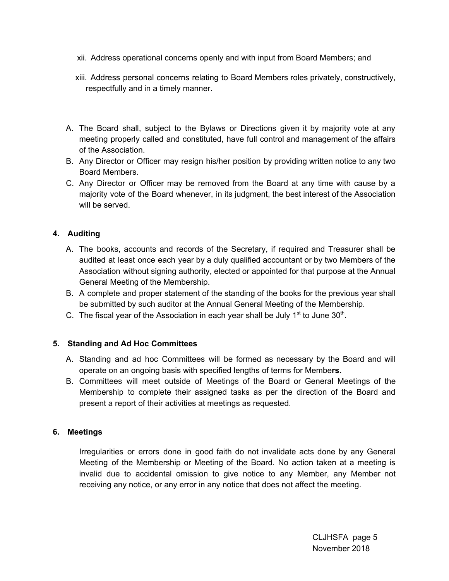- xii. Address operational concerns openly and with input from Board Members; and
- xiii. Address personal concerns relating to Board Members roles privately, constructively, respectfully and in a timely manner.
- A. The Board shall, subject to the Bylaws or Directions given it by majority vote at any meeting properly called and constituted, have full control and management of the affairs of the Association.
- B. Any Director or Officer may resign his/her position by providing written notice to any two Board Members.
- C. Any Director or Officer may be removed from the Board at any time with cause by a majority vote of the Board whenever, in its judgment, the best interest of the Association will be served.

## **4. Auditing**

- A. The books, accounts and records of the Secretary, if required and Treasurer shall be audited at least once each year by a duly qualified accountant or by two Members of the Association without signing authority, elected or appointed for that purpose at the Annual General Meeting of the Membership.
- B. A complete and proper statement of the standing of the books for the previous year shall be submitted by such auditor at the Annual General Meeting of the Membership.
- C. The fiscal year of the Association in each year shall be July  $1<sup>st</sup>$  to June 30<sup>th</sup>.

### **5. Standing and Ad Hoc Committees**

- A. Standing and ad hoc Committees will be formed as necessary by the Board and will operate on an ongoing basis with specified lengths of terms for Membe**rs.**
- B. Committees will meet outside of Meetings of the Board or General Meetings of the Membership to complete their assigned tasks as per the direction of the Board and present a report of their activities at meetings as requested.

### **6. Meetings**

Irregularities or errors done in good faith do not invalidate acts done by any General Meeting of the Membership or Meeting of the Board. No action taken at a meeting is invalid due to accidental omission to give notice to any Member, any Member not receiving any notice, or any error in any notice that does not affect the meeting.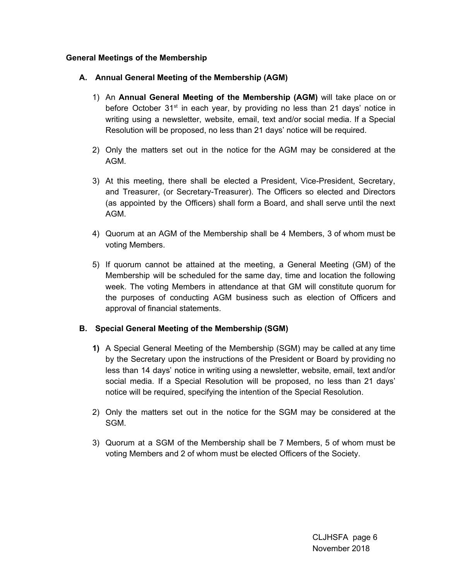### **General Meetings of the Membership**

### **A. Annual General Meeting of the Membership (AGM)**

- 1) An **Annual General Meeting of the Membership (AGM)** will take place on or before October 31<sup>st</sup> in each year, by providing no less than 21 days' notice in writing using a newsletter, website, email, text and/or social media. If a Special Resolution will be proposed, no less than 21 days' notice will be required.
- 2) Only the matters set out in the notice for the AGM may be considered at the AGM.
- 3) At this meeting, there shall be elected a President, Vice-President, Secretary, and Treasurer, (or Secretary-Treasurer). The Officers so elected and Directors (as appointed by the Officers) shall form a Board, and shall serve until the next AGM.
- 4) Quorum at an AGM of the Membership shall be 4 Members, 3 of whom must be voting Members.
- 5) If quorum cannot be attained at the meeting, a General Meeting (GM) of the Membership will be scheduled for the same day, time and location the following week. The voting Members in attendance at that GM will constitute quorum for the purposes of conducting AGM business such as election of Officers and approval of financial statements.

### **B. Special General Meeting of the Membership (SGM)**

- **1)** A Special General Meeting of the Membership (SGM) may be called at any time by the Secretary upon the instructions of the President or Board by providing no less than 14 days' notice in writing using a newsletter, website, email, text and/or social media. If a Special Resolution will be proposed, no less than 21 days' notice will be required, specifying the intention of the Special Resolution.
- 2) Only the matters set out in the notice for the SGM may be considered at the SGM.
- 3) Quorum at a SGM of the Membership shall be 7 Members, 5 of whom must be voting Members and 2 of whom must be elected Officers of the Society.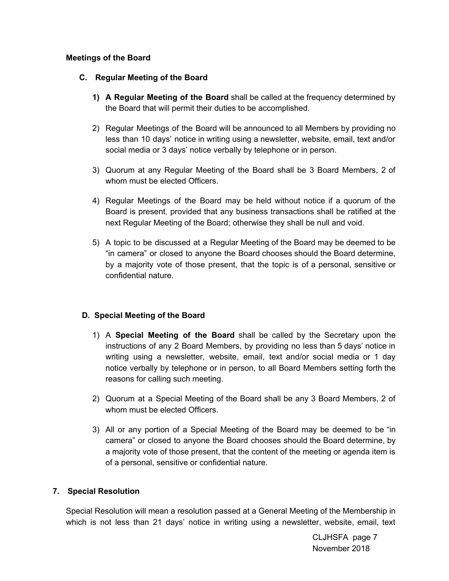### **Meetings of the Board**

### **C. Regular Meeting of the Board**

- **1) A Regular Meeting of the Board** shall be called at the frequency determined by the Board that will permit their duties to be accomplished.
- 2) Regular Meetings of the Board will be announced to all Members by providing no less than 10 days' notice in writing using a newsletter, website, email, text and/or social media or 3 days' notice verbally by telephone or in person.
- 3) Quorum at any Regular Meeting of the Board shall be 3 Board Members, 2 of whom must be elected Officers.
- 4) Regular Meetings of the Board may be held without notice if a quorum of the Board is present, provided that any business transactions shall be ratified at the next Regular Meeting of the Board; otherwise they shall be null and void.
- 5) A topic to be discussed at a Regular Meeting of the Board may be deemed to be "in camera" or closed to anyone the Board chooses should the Board determine, by a majority vote of those present, that the topic is of a personal, sensitive or confidential nature.

### **D. Special Meeting of the Board**

- 1) A **Special Meeting of the Board** shall be called by the Secretary upon the instructions of any 2 Board Members, by providing no less than 5 days' notice in writing using a newsletter, website, email, text and/or social media or 1 day notice verbally by telephone or in person, to all Board Members setting forth the reasons for calling such meeting.
- 2) Quorum at a Special Meeting of the Board shall be any 3 Board Members, 2 of whom must be elected Officers.
- 3) All or any portion of a Special Meeting of the Board may be deemed to be "in camera" or closed to anyone the Board chooses should the Board determine, by a majority vote of those present, that the content of the meeting or agenda item is of a personal, sensitive or confidential nature.

#### **7. Special Resolution**

Special Resolution will mean a resolution passed at a General Meeting of the Membership in which is not less than 21 days' notice in writing using a newsletter, website, email, text

> CLJHSFA page 7 November 2018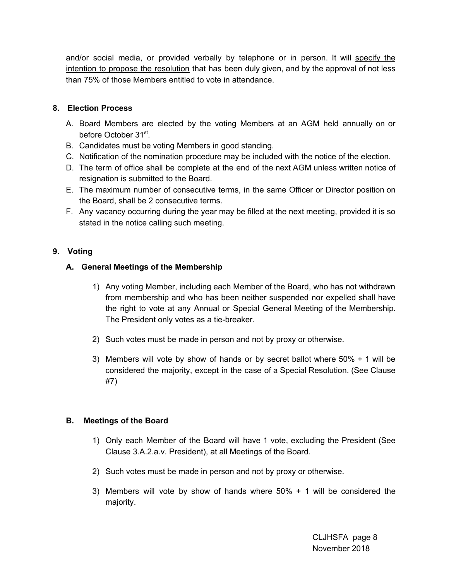and/or social media, or provided verbally by telephone or in person. It will specify the intention to propose the resolution that has been duly given, and by the approval of not less than 75% of those Members entitled to vote in attendance.

### **8. Election Process**

- A. Board Members are elected by the voting Members at an AGM held annually on or before October 31<sup>st</sup>.
- B. Candidates must be voting Members in good standing.
- C. Notification of the nomination procedure may be included with the notice of the election.
- D. The term of office shall be complete at the end of the next AGM unless written notice of resignation is submitted to the Board.
- E. The maximum number of consecutive terms, in the same Officer or Director position on the Board, shall be 2 consecutive terms.
- F. Any vacancy occurring during the year may be filled at the next meeting, provided it is so stated in the notice calling such meeting.

## **9. Voting**

### **A. General Meetings of the Membership**

- 1) Any voting Member, including each Member of the Board, who has not withdrawn from membership and who has been neither suspended nor expelled shall have the right to vote at any Annual or Special General Meeting of the Membership. The President only votes as a tie-breaker.
- 2) Such votes must be made in person and not by proxy or otherwise.
- 3) Members will vote by show of hands or by secret ballot where 50% + 1 will be considered the majority, except in the case of a Special Resolution. (See Clause #7)

### **B. Meetings of the Board**

- 1) Only each Member of the Board will have 1 vote, excluding the President (See Clause 3.A.2.a.v. President), at all Meetings of the Board.
- 2) Such votes must be made in person and not by proxy or otherwise.
- 3) Members will vote by show of hands where 50% + 1 will be considered the majority.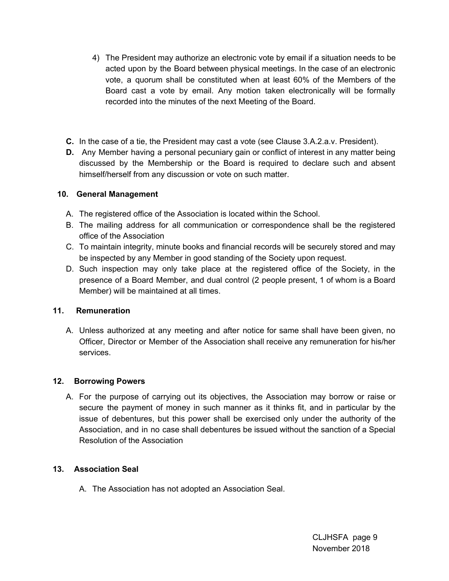- 4) The President may authorize an electronic vote by email if a situation needs to be acted upon by the Board between physical meetings. In the case of an electronic vote, a quorum shall be constituted when at least 60% of the Members of the Board cast a vote by email. Any motion taken electronically will be formally recorded into the minutes of the next Meeting of the Board.
- **C.** In the case of a tie, the President may cast a vote (see Clause 3.A.2.a.v. President).
- **D.** Any Member having a personal pecuniary gain or conflict of interest in any matter being discussed by the Membership or the Board is required to declare such and absent himself/herself from any discussion or vote on such matter.

## **10. General Management**

- A. The registered office of the Association is located within the School.
- B. The mailing address for all communication or correspondence shall be the registered office of the Association
- C. To maintain integrity, minute books and financial records will be securely stored and may be inspected by any Member in good standing of the Society upon request.
- D. Such inspection may only take place at the registered office of the Society, in the presence of a Board Member, and dual control (2 people present, 1 of whom is a Board Member) will be maintained at all times.

## **11. Remuneration**

A. Unless authorized at any meeting and after notice for same shall have been given, no Officer, Director or Member of the Association shall receive any remuneration for his/her services.

## **12. Borrowing Powers**

A. For the purpose of carrying out its objectives, the Association may borrow or raise or secure the payment of money in such manner as it thinks fit, and in particular by the issue of debentures, but this power shall be exercised only under the authority of the Association, and in no case shall debentures be issued without the sanction of a Special Resolution of the Association

### **13. Association Seal**

A. The Association has not adopted an Association Seal.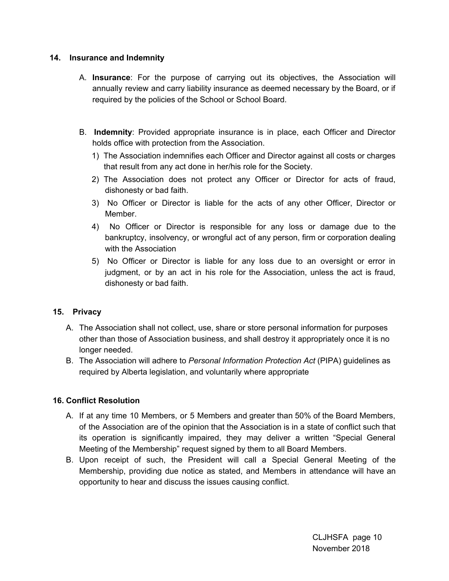### **14. Insurance and Indemnity**

- A. **Insurance**: For the purpose of carrying out its objectives, the Association will annually review and carry liability insurance as deemed necessary by the Board, or if required by the policies of the School or School Board.
- B. **Indemnity**: Provided appropriate insurance is in place, each Officer and Director holds office with protection from the Association.
	- 1) The Association indemnifies each Officer and Director against all costs or charges that result from any act done in her/his role for the Society.
	- 2) The Association does not protect any Officer or Director for acts of fraud, dishonesty or bad faith.
	- 3) No Officer or Director is liable for the acts of any other Officer, Director or Member.
	- 4) No Officer or Director is responsible for any loss or damage due to the bankruptcy, insolvency, or wrongful act of any person, firm or corporation dealing with the Association
	- 5) No Officer or Director is liable for any loss due to an oversight or error in judgment, or by an act in his role for the Association, unless the act is fraud, dishonesty or bad faith.

### **15. Privacy**

- A. The Association shall not collect, use, share or store personal information for purposes other than those of Association business, and shall destroy it appropriately once it is no longer needed.
- B. The Association will adhere to *Personal Information Protection Act* (PIPA) guidelines as required by Alberta legislation, and voluntarily where appropriate

### **16. Conflict Resolution**

- A. If at any time 10 Members, or 5 Members and greater than 50% of the Board Members, of the Association are of the opinion that the Association is in a state of conflict such that its operation is significantly impaired, they may deliver a written "Special General Meeting of the Membership" request signed by them to all Board Members.
- B. Upon receipt of such, the President will call a Special General Meeting of the Membership, providing due notice as stated, and Members in attendance will have an opportunity to hear and discuss the issues causing conflict.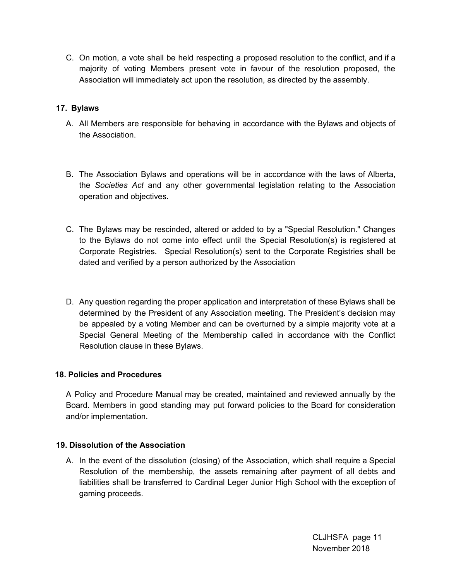C. On motion, a vote shall be held respecting a proposed resolution to the conflict, and if a majority of voting Members present vote in favour of the resolution proposed, the Association will immediately act upon the resolution, as directed by the assembly.

### **17. Bylaws**

- A. All Members are responsible for behaving in accordance with the Bylaws and objects of the Association.
- B. The Association Bylaws and operations will be in accordance with the laws of Alberta, the *Societies Act* and any other governmental legislation relating to the Association operation and objectives.
- C. The Bylaws may be rescinded, altered or added to by a "Special Resolution." Changes to the Bylaws do not come into effect until the Special Resolution(s) is registered at Corporate Registries. Special Resolution(s) sent to the Corporate Registries shall be dated and verified by a person authorized by the Association
- D. Any question regarding the proper application and interpretation of these Bylaws shall be determined by the President of any Association meeting. The President's decision may be appealed by a voting Member and can be overturned by a simple majority vote at a Special General Meeting of the Membership called in accordance with the Conflict Resolution clause in these Bylaws.

#### **18. Policies and Procedures**

A Policy and Procedure Manual may be created, maintained and reviewed annually by the Board. Members in good standing may put forward policies to the Board for consideration and/or implementation.

#### **19. Dissolution of the Association**

A. In the event of the dissolution (closing) of the Association, which shall require a Special Resolution of the membership, the assets remaining after payment of all debts and liabilities shall be transferred to Cardinal Leger Junior High School with the exception of gaming proceeds.